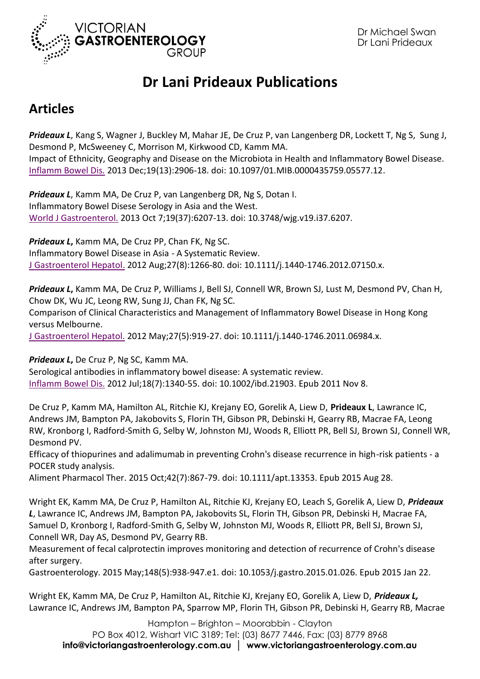

## **Dr Lani Prideaux Publications**

## **Articles**

*Prideaux L*, Kang S, Wagner J, Buckley M, Mahar JE, De Cruz P, van Langenberg DR, Lockett T, Ng S, Sung J, Desmond P, McSweeney C, Morrison M, Kirkwood CD, Kamm MA. Impact of Ethnicity, Geography and Disease on the Microbiota in Health and Inflammatory Bowel Disease. [Inflamm Bowel Dis.](http://www.ncbi.nlm.nih.gov/pubmed/?term=Prideaux+L%2C+Kang+S%2C+Wagner+J%2C+Buckley+M%2C+Mahar+JE%2C+De+Cruz+P%2C+van+Langenberg+DR%2C+Lockett+T%2C+Ng+S%2C++Sung+J%2C+Desmond+P%2C+McSweeney+C%2C+Morrison+M%2C+Kirkwood+CD%2C+Kamm+MA.++Impact+of+Ethnicity%2C+Geography+and+Disease+on+the+Microbiota+in+Health+and+Inflammatory+Bowel+Disease.++Inflamm+Bowel+Dis.+2013+Dec%3B19(13)%3A2906-18) 2013 Dec;19(13):2906-18. doi: 10.1097/01.MIB.0000435759.05577.12.

*Prideaux L*, Kamm MA, De Cruz P, van Langenberg DR, Ng S, Dotan I. Inflammatory Bowel Disese Serology in Asia and the West. [World J Gastroenterol.](http://www.ncbi.nlm.nih.gov/pubmed/?term=Prideaux+L%2C+Kamm+MA%2C+De+Cruz+P%2C+van+Langenberg+DR%2C+Ng+S%2C+Dotan+I.++Inflammatory+Bowel+Disese+Serology+in+Asia+and+the+West.++World+J+Gastroenterol.+2013+Oct+7%3B19(37)%3A6207-13) 2013 Oct 7;19(37):6207-13. doi: 10.3748/wjg.v19.i37.6207.

*Prideaux L***,** Kamm MA, De Cruz PP, Chan FK, Ng SC. Inflammatory Bowel Disease in Asia - A Systematic Review. [J Gastroenterol Hepatol.](http://www.ncbi.nlm.nih.gov/pubmed/22497584) 2012 Aug;27(8):1266-80. doi: 10.1111/j.1440-1746.2012.07150.x.

*Prideaux L***,** Kamm MA, De Cruz P, Williams J, Bell SJ, Connell WR, Brown SJ, Lust M, Desmond PV, Chan H, Chow DK, Wu JC, Leong RW, Sung JJ, Chan FK, Ng SC.

Comparison of Clinical Characteristics and Management of Inflammatory Bowel Disease in Hong Kong versus Melbourne.

[J Gastroenterol Hepatol.](http://www.ncbi.nlm.nih.gov/pubmed/?term=Prideaux+L%2C+Kamm+MA%2C+De+Cruz+P%2C+Williams+J%2C+Bell+SJ%2C+Connell+WR%2C+Brown+SJ%2C+Lust+M%2C+Desmond+PV%2C+Chan+H%2C+Chow+DK%2C+Wu+JC%2C+Leong+RW%2C+Sung+JJ%2C+Chan+FK%2C+Ng+SC.+Comparison+of+Clinical+Characteristics+and+Management+of+Inflammatory+Bowel+Disease+in+Hong+Kong+versus+Melbourne.++J+Gastroenterol+Hepatol.+2012+May%3B27(5)%3A919-27) 2012 May;27(5):919-27. doi: 10.1111/j.1440-1746.2011.06984.x.

*Prideaux L***,** De Cruz P, Ng SC, Kamm MA.

Serological antibodies in inflammatory bowel disease: A systematic review. [Inflamm Bowel Dis.](http://www.ncbi.nlm.nih.gov/pubmed/?term=Prideaux+L%2C+De+Cruz+P%2C+Ng+SC%2C+Kamm+MA.++Serological+antibodies+in+inflammatory+bowel+disease%3A+A+systematic+review.++Inflamm+Bowel+Dis.+2012+Jul%3B18(7)%3A1340-55.) 2012 Jul;18(7):1340-55. doi: 10.1002/ibd.21903. Epub 2011 Nov 8.

De Cruz P, Kamm MA, Hamilton AL, Ritchie KJ, Krejany EO, Gorelik A, Liew D, **Prideaux L**, Lawrance IC, Andrews JM, Bampton PA, Jakobovits S, Florin TH, Gibson PR, Debinski H, Gearry RB, Macrae FA, Leong RW, Kronborg I, Radford-Smith G, Selby W, Johnston MJ, Woods R, Elliott PR, Bell SJ, Brown SJ, Connell WR, Desmond PV.

Efficacy of thiopurines and adalimumab in preventing Crohn's disease recurrence in high-risk patients - a POCER study analysis.

Aliment Pharmacol Ther. 2015 Oct;42(7):867-79. doi: 10.1111/apt.13353. Epub 2015 Aug 28.

Wright EK, Kamm MA, De Cruz P, Hamilton AL, Ritchie KJ, Krejany EO, Leach S, Gorelik A, Liew D, *Prideaux L*, Lawrance IC, Andrews JM, Bampton PA, Jakobovits SL, Florin TH, Gibson PR, Debinski H, Macrae FA, Samuel D, Kronborg I, Radford-Smith G, Selby W, Johnston MJ, Woods R, Elliott PR, Bell SJ, Brown SJ, Connell WR, Day AS, Desmond PV, Gearry RB.

Measurement of fecal calprotectin improves monitoring and detection of recurrence of Crohn's disease after surgery.

Gastroenterology. 2015 May;148(5):938-947.e1. doi: 10.1053/j.gastro.2015.01.026. Epub 2015 Jan 22.

Wright EK, Kamm MA, De Cruz P, Hamilton AL, Ritchie KJ, Krejany EO, Gorelik A, Liew D, *Prideaux L,* Lawrance IC, Andrews JM, Bampton PA, Sparrow MP, Florin TH, Gibson PR, Debinski H, Gearry RB, Macrae

Hampton – Brighton – Moorabbin - Clayton PO Box 4012, Wishart VIC 3189; Tel: (03) 8677 7446, Fax: (03) 8779 8968 **info@victoriangastroenterology.com.au │ www.victoriangastroenterology.com.au**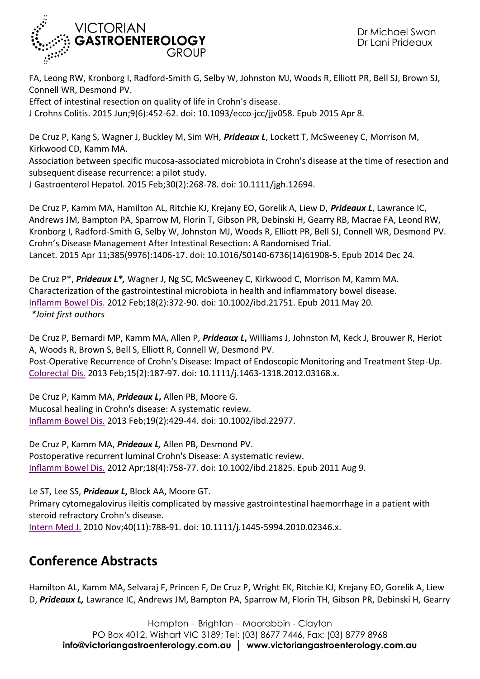

FA, Leong RW, Kronborg I, Radford-Smith G, Selby W, Johnston MJ, Woods R, Elliott PR, Bell SJ, Brown SJ, Connell WR, Desmond PV.

Effect of intestinal resection on quality of life in Crohn's disease.

J Crohns Colitis. 2015 Jun;9(6):452-62. doi: 10.1093/ecco-jcc/jjv058. Epub 2015 Apr 8.

De Cruz P, Kang S, Wagner J, Buckley M, Sim WH, *Prideaux L*, Lockett T, McSweeney C, Morrison M, Kirkwood CD, Kamm MA.

Association between specific mucosa-associated microbiota in Crohn's disease at the time of resection and subsequent disease recurrence: a pilot study.

J Gastroenterol Hepatol. 2015 Feb;30(2):268-78. doi: 10.1111/jgh.12694.

De Cruz P, Kamm MA, Hamilton AL, Ritchie KJ, Krejany EO, Gorelik A, Liew D, *Prideaux L*, Lawrance IC, Andrews JM, Bampton PA, Sparrow M, Florin T, Gibson PR, Debinski H, Gearry RB, Macrae FA, Leond RW, Kronborg I, Radford-Smith G, Selby W, Johnston MJ, Woods R, Elliott PR, Bell SJ, Connell WR, Desmond PV. Crohn's Disease Management After Intestinal Resection: A Randomised Trial. Lancet. 2015 Apr 11;385(9976):1406-17. doi: 10.1016/S0140-6736(14)61908-5. Epub 2014 Dec 24.

De Cruz P\*, *Prideaux L\*,* Wagner J, Ng SC, McSweeney C, Kirkwood C, Morrison M, Kamm MA. Characterization of the gastrointestinal microbiota in health and inflammatory bowel disease. [Inflamm Bowel Dis.](http://www.ncbi.nlm.nih.gov/pubmed/21604329) 2012 Feb;18(2):372-90. doi: 10.1002/ibd.21751. Epub 2011 May 20. *\*Joint first authors*

De Cruz P, Bernardi MP, Kamm MA, Allen P, *Prideaux L***,** Williams J, Johnston M, Keck J, Brouwer R, Heriot A, Woods R, Brown S, Bell S, Elliott R, Connell W, Desmond PV. Post-Operative Recurrence of Crohn's Disease: Impact of Endoscopic Monitoring and Treatment Step-Up. [Colorectal Dis.](http://www.ncbi.nlm.nih.gov/pubmed/?term=De+Cruz+P%2C+Bernardi+MP%2C+Kamm+MA%2C+Allen+P%2C+Prideaux+L%2C+Williams+J%2C+Johnston+M%2C+Keck+J%2C+Brouwer+R%2C+Heriot+A%2C+Woods+R%2C+Brown+S%2C+Bell+S%2C+Elliott+R%2C+Connell+W%2C+Desmond+PV.++Post-Operative+Recurrence+of+Crohn%27s+Disease%3A+Impact+of+Endoscopic+Monitoring+and+Treatment+Step-Up.++Colorectal+Dis.+2012+Jul+3.+2013+Feb%3B15(2)%3A187-97) 2013 Feb;15(2):187-97. doi: 10.1111/j.1463-1318.2012.03168.x.

De Cruz P, Kamm MA, *Prideaux L***,** Allen PB, Moore G. Mucosal healing in Crohn's disease: A systematic review. [Inflamm Bowel Dis.](http://www.ncbi.nlm.nih.gov/pubmed/?term=De+Cruz+P%2C+Kamm+MA%2C+Prideaux+L%2C+Allen+PB%2C+Moore+G.++Mucosal+healing+in+Crohn%27s+disease%3A+A+systematic+review.++Inflamm+Bowel+Dis.+2013+Feb%3B19(2)%3A429-44.) 2013 Feb;19(2):429-44. doi: 10.1002/ibd.22977.

De Cruz P, Kamm MA, *Prideaux L,* Allen PB, Desmond PV. Postoperative recurrent luminal Crohn's Disease: A systematic review. [Inflamm Bowel Dis.](http://www.ncbi.nlm.nih.gov/pubmed/?term=De+Cruz+P%2C+Kamm+MA%2C+Prideaux+L%2C+Allen+PB%2C+Desmond+PV.+Postoperative+recurrent+luminal+Crohn%27s+Disease%3A+A+systematic+review.++Inflamm+Bowel+Dis.+2012+Apr%3B18(4)%3A758-77.) 2012 Apr;18(4):758-77. doi: 10.1002/ibd.21825. Epub 2011 Aug 9.

Le ST, Lee SS, *Prideaux L***,** Block AA, Moore GT.

Primary cytomegalovirus ileitis complicated by massive gastrointestinal haemorrhage in a patient with steroid refractory Crohn's disease.

[Intern Med J.](http://www.ncbi.nlm.nih.gov/pubmed/?term=Le+ST%2C+Primary+cytomegalovirus+ileitis+complicated+by+massive+gastrointestinal+haemorrhage+in+a+patient+with+steroid+refractory+Crohn%27s+disease.+Intern+Med) 2010 Nov;40(11):788-91. doi: 10.1111/j.1445-5994.2010.02346.x.

## **Conference Abstracts**

Hamilton AL, Kamm MA, Selvaraj F, Princen F, De Cruz P, Wright EK, Ritchie KJ, Krejany EO, Gorelik A, Liew D, *Prideaux L,* Lawrance IC, Andrews JM, Bampton PA, Sparrow M, Florin TH, Gibson PR, Debinski H, Gearry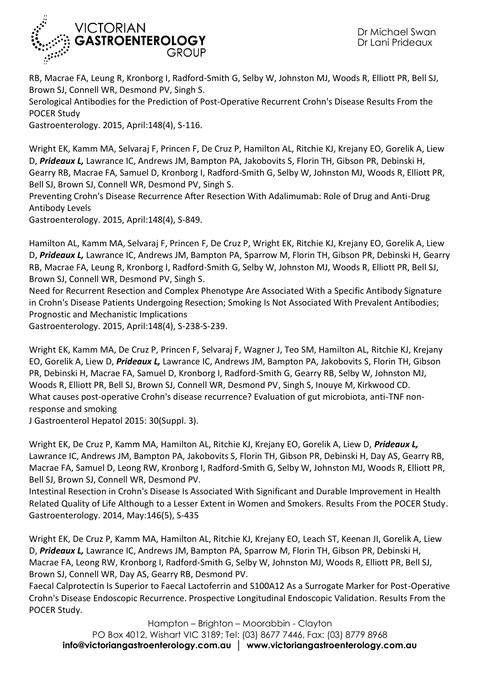

RB, Macrae FA, Leung R, Kronborg I, Radford-Smith G, Selby W, Johnston MJ, Woods R, Elliott PR, Bell SJ, Brown SJ, Connell WR, Desmond PV, Singh S.

Serological Antibodies for the Prediction of Post-Operative Recurrent Crohn's Disease Results From the POCER Study

Gastroenterology. 2015, April:148(4), S-116.

Wright EK, Kamm MA, Selvaraj F, Princen F, De Cruz P, Hamilton AL, Ritchie KJ, Krejany EO, Gorelik A, Liew D, *Prideaux L,* Lawrance IC, Andrews JM, Bampton PA, Jakobovits S, Florin TH, Gibson PR, Debinski H, Gearry RB, Macrae FA, Samuel D, Kronborg I, Radford-Smith G, Selby W, Johnston MJ, Woods R, Elliott PR, Bell SJ, Brown SJ, Connell WR, Desmond PV, Singh S.

Preventing Crohn's Disease Recurrence After Resection With Adalimumab: Role of Drug and Anti-Drug Antibody Levels

Gastroenterology. 2015, April:148(4), S-849.

Hamilton AL, Kamm MA, Selvaraj F, Princen F, De Cruz P, Wright EK, Ritchie KJ, Krejany EO, Gorelik A, Liew D, *Prideaux L,* Lawrance IC, Andrews JM, Bampton PA, Sparrow M, Florin TH, Gibson PR, Debinski H, Gearry RB, Macrae FA, Leung R, Kronborg I, Radford-Smith G, Selby W, Johnston MJ, Woods R, Elliott PR, Bell SJ, Brown SJ, Connell WR, Desmond PV, Singh S.

Need for Recurrent Resection and Complex Phenotype Are Associated With a Specific Antibody Signature in Crohn's Disease Patients Undergoing Resection; Smoking Is Not Associated With Prevalent Antibodies; Prognostic and Mechanistic Implications

Gastroenterology. 2015, April:148(4), S-238-S-239.

Wright EK, Kamm MA, De Cruz P, Princen F, Selvaraj F, Wagner J, Teo SM, Hamilton AL, Ritchie KJ, Krejany EO, Gorelik A, Liew D, *Prideaux L,* Lawrance IC, Andrews JM, Bampton PA, Jakobovits S, Florin TH, Gibson PR, Debinski H, Macrae FA, Samuel D, Kronborg I, Radford-Smith G, Gearry RB, Selby W, Johnston MJ, Woods R, Elliott PR, Bell SJ, Brown SJ, Connell WR, Desmond PV, Singh S, Inouye M, Kirkwood CD. What causes post-operative Crohn's disease recurrence? Evaluation of gut microbiota, anti-TNF nonresponse and smoking

J Gastroenterol Hepatol 2015: 30(Suppl. 3).

Wright EK, De Cruz P, Kamm MA, Hamilton AL, Ritchie KJ, Krejany EO, Gorelik A, Liew D, *Prideaux L,* Lawrance IC, Andrews JM, Bampton PA, Jakobovits S, Florin TH, Gibson PR, Debinski H, Day AS, Gearry RB, Macrae FA, Samuel D, Leong RW, Kronborg I, Radford-Smith G, Selby W, Johnston MJ, Woods R, Elliott PR, Bell SJ, Brown SJ, Connell WR, Desmond PV.

Intestinal Resection in Crohn's Disease Is Associated With Significant and Durable Improvement in Health Related Quality of Life Although to a Lesser Extent in Women and Smokers. Results From the POCER Study. Gastroenterology. 2014, May:146(5), S-435

Wright EK, De Cruz P, Kamm MA, Hamilton AL, Ritchie KJ, Krejany EO, Leach ST, Keenan JI, Gorelik A, Liew D, *Prideaux L,* Lawrance IC, Andrews JM, Bampton PA, Sparrow M, Florin TH, Gibson PR, Debinski H, Macrae FA, Leong RW, Kronborg I, Radford-Smith G, Selby W, Johnston MJ, Woods R, Elliott PR, Bell SJ, Brown SJ, Connell WR, Day AS, Gearry RB, Desmond PV.

Faecal Calprotectin Is Superior to Faecal Lactoferrin and S100A12 As a Surrogate Marker for Post-Operative Crohn's Disease Endoscopic Recurrence. Prospective Longitudinal Endoscopic Validation. Results From the POCER Study.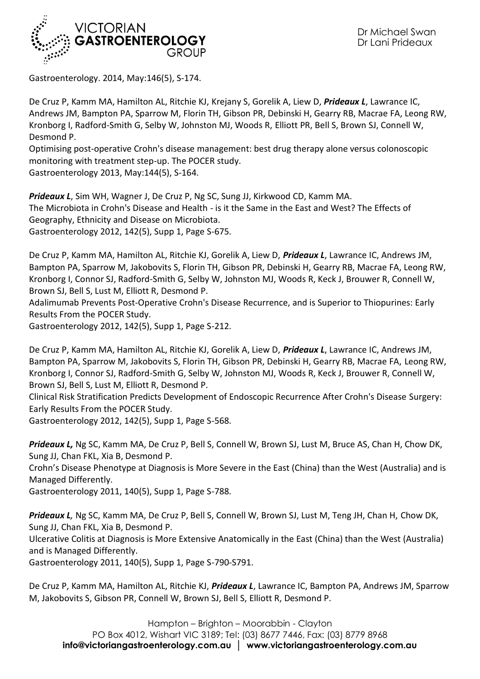

Gastroenterology. 2014, May:146(5), S-174.

De Cruz P, Kamm MA, Hamilton AL, Ritchie KJ, Krejany S, Gorelik A, Liew D, *Prideaux L*, Lawrance IC, Andrews JM, Bampton PA, Sparrow M, Florin TH, Gibson PR, Debinski H, Gearry RB, Macrae FA, Leong RW, Kronborg I, Radford-Smith G, Selby W, Johnston MJ, Woods R, Elliott PR, Bell S, Brown SJ, Connell W, Desmond P.

Optimising post-operative Crohn's disease management: best drug therapy alone versus colonoscopic monitoring with treatment step-up. The POCER study. Gastroenterology 2013, May:144(5), S-164.

*Prideaux L*, Sim WH, Wagner J, De Cruz P, Ng SC, Sung JJ, Kirkwood CD, Kamm MA. The Microbiota in Crohn's Disease and Health - is it the Same in the East and West? The Effects of Geography, Ethnicity and Disease on Microbiota. Gastroenterology 2012, 142(5), Supp 1, Page S-675.

De Cruz P, Kamm MA, Hamilton AL, Ritchie KJ, Gorelik A, Liew D, *Prideaux L*, Lawrance IC, Andrews JM, Bampton PA, Sparrow M, Jakobovits S, Florin TH, Gibson PR, Debinski H, Gearry RB, Macrae FA, Leong RW, Kronborg I, Connor SJ, Radford-Smith G, Selby W, Johnston MJ, Woods R, Keck J, Brouwer R, Connell W, Brown SJ, Bell S, Lust M, Elliott R, Desmond P.

Adalimumab Prevents Post-Operative Crohn's Disease Recurrence, and is Superior to Thiopurines: Early Results From the POCER Study.

Gastroenterology 2012, 142(5), Supp 1, Page S-212.

De Cruz P, Kamm MA, Hamilton AL, Ritchie KJ, Gorelik A, Liew D, *Prideaux L*, Lawrance IC, Andrews JM, Bampton PA, Sparrow M, Jakobovits S, Florin TH, Gibson PR, Debinski H, Gearry RB, Macrae FA, Leong RW, Kronborg I, Connor SJ, Radford-Smith G, Selby W, Johnston MJ, Woods R, Keck J, Brouwer R, Connell W, Brown SJ, Bell S, Lust M, Elliott R, Desmond P.

Clinical Risk Stratification Predicts Development of Endoscopic Recurrence After Crohn's Disease Surgery: Early Results From the POCER Study.

Gastroenterology 2012, 142(5), Supp 1, Page S-568.

*Prideaux L,* Ng SC, Kamm MA, De Cruz P, Bell S, Connell W, Brown SJ, Lust M, Bruce AS, Chan H, Chow DK, Sung JJ, Chan FKL, Xia B, Desmond P.

Crohn's Disease Phenotype at Diagnosis is More Severe in the East (China) than the West (Australia) and is Managed Differently.

Gastroenterology 2011, 140(5), Supp 1, Page S-788.

*Prideaux L,* Ng SC, Kamm MA, De Cruz P, Bell S, Connell W, Brown SJ, Lust M, Teng JH, Chan H, Chow DK, Sung JJ, Chan FKL, Xia B, Desmond P.

Ulcerative Colitis at Diagnosis is More Extensive Anatomically in the East (China) than the West (Australia) and is Managed Differently.

Gastroenterology 2011, 140(5), Supp 1, Page S-790-S791.

De Cruz P, Kamm MA, Hamilton AL, Ritchie KJ, *Prideaux L*, Lawrance IC, Bampton PA, Andrews JM, Sparrow M, Jakobovits S, Gibson PR, Connell W, Brown SJ, Bell S, Elliott R, Desmond P.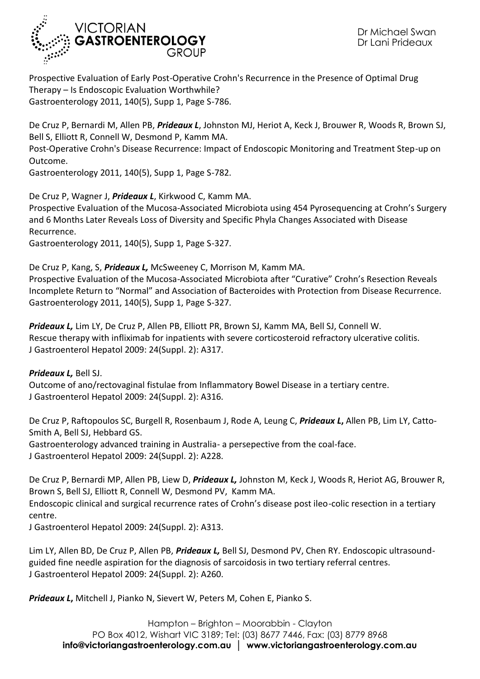

Prospective Evaluation of Early Post-Operative Crohn's Recurrence in the Presence of Optimal Drug Therapy – Is Endoscopic Evaluation Worthwhile? Gastroenterology 2011, 140(5), Supp 1, Page S-786.

De Cruz P, Bernardi M, Allen PB, *Prideaux L*, Johnston MJ, Heriot A, Keck J, Brouwer R, Woods R, Brown SJ, Bell S, Elliott R, Connell W, Desmond P, Kamm MA.

Post-Operative Crohn's Disease Recurrence: Impact of Endoscopic Monitoring and Treatment Step-up on Outcome.

Gastroenterology 2011, 140(5), Supp 1, Page S-782.

De Cruz P, Wagner J, *Prideaux L*, Kirkwood C, Kamm MA.

Prospective Evaluation of the Mucosa-Associated Microbiota using 454 Pyrosequencing at Crohn's Surgery and 6 Months Later Reveals Loss of Diversity and Specific Phyla Changes Associated with Disease Recurrence.

Gastroenterology 2011, 140(5), Supp 1, Page S-327.

De Cruz P, Kang, S, *Prideaux L,* McSweeney C, Morrison M, Kamm MA. Prospective Evaluation of the Mucosa-Associated Microbiota after "Curative" Crohn's Resection Reveals Incomplete Return to "Normal" and Association of Bacteroides with Protection from Disease Recurrence. Gastroenterology 2011, 140(5), Supp 1, Page S-327.

*Prideaux L,* Lim LY, De Cruz P, Allen PB, Elliott PR, Brown SJ, Kamm MA, Bell SJ, Connell W. Rescue therapy with infliximab for inpatients with severe corticosteroid refractory ulcerative colitis. J Gastroenterol Hepatol 2009: 24(Suppl. 2): A317.

*Prideaux L,* Bell SJ. Outcome of ano/rectovaginal fistulae from Inflammatory Bowel Disease in a tertiary centre. J Gastroenterol Hepatol 2009: 24(Suppl. 2): A316.

De Cruz P, Raftopoulos SC, Burgell R, Rosenbaum J, Rode A, Leung C, *Prideaux L***,** Allen PB, Lim LY, Catto-Smith A, Bell SJ, Hebbard GS.

Gastroenterology advanced training in Australia- a persepective from the coal-face. J Gastroenterol Hepatol 2009: 24(Suppl. 2): A228.

De Cruz P, Bernardi MP, Allen PB, Liew D, *Prideaux L,* Johnston M, Keck J, Woods R, Heriot AG, Brouwer R, Brown S, Bell SJ, Elliott R, Connell W, Desmond PV, Kamm MA.

Endoscopic clinical and surgical recurrence rates of Crohn's disease post ileo-colic resection in a tertiary centre.

J Gastroenterol Hepatol 2009: 24(Suppl. 2): A313.

Lim LY, Allen BD, De Cruz P, Allen PB, *Prideaux L,* Bell SJ, Desmond PV, Chen RY. Endoscopic ultrasoundguided fine needle aspiration for the diagnosis of sarcoidosis in two tertiary referral centres. J Gastroenterol Hepatol 2009: 24(Suppl. 2): A260.

*Prideaux L***,** Mitchell J, Pianko N, Sievert W, Peters M, Cohen E, Pianko S.